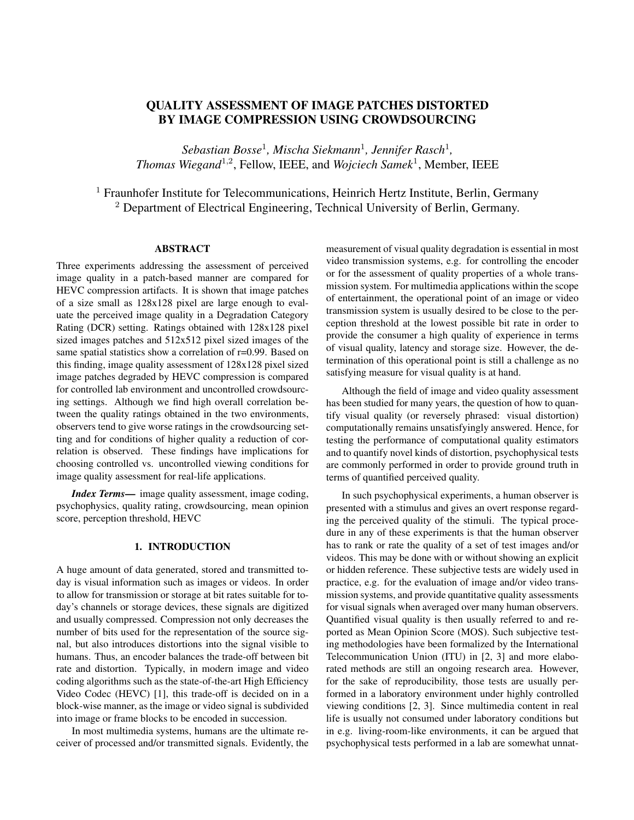# QUALITY ASSESSMENT OF IMAGE PATCHES DISTORTED BY IMAGE COMPRESSION USING CROWDSOURCING

*Sebastian Bosse*<sup>1</sup> *, Mischa Siekmann*<sup>1</sup> *, Jennifer Rasch*<sup>1</sup> *, Thomas Wiegand*<sup>1</sup>,<sup>2</sup> , Fellow, IEEE, and *Wojciech Samek*<sup>1</sup> , Member, IEEE

<sup>1</sup> Fraunhofer Institute for Telecommunications, Heinrich Hertz Institute, Berlin, Germany <sup>2</sup> Department of Electrical Engineering, Technical University of Berlin, Germany.

### ABSTRACT

Three experiments addressing the assessment of perceived image quality in a patch-based manner are compared for HEVC compression artifacts. It is shown that image patches of a size small as 128x128 pixel are large enough to evaluate the perceived image quality in a Degradation Category Rating (DCR) setting. Ratings obtained with 128x128 pixel sized images patches and 512x512 pixel sized images of the same spatial statistics show a correlation of r=0.99. Based on this finding, image quality assessment of 128x128 pixel sized image patches degraded by HEVC compression is compared for controlled lab environment and uncontrolled crowdsourcing settings. Although we find high overall correlation between the quality ratings obtained in the two environments, observers tend to give worse ratings in the crowdsourcing setting and for conditions of higher quality a reduction of correlation is observed. These findings have implications for choosing controlled vs. uncontrolled viewing conditions for image quality assessment for real-life applications.

*Index Terms*— image quality assessment, image coding, psychophysics, quality rating, crowdsourcing, mean opinion score, perception threshold, HEVC

# 1. INTRODUCTION

A huge amount of data generated, stored and transmitted today is visual information such as images or videos. In order to allow for transmission or storage at bit rates suitable for today's channels or storage devices, these signals are digitized and usually compressed. Compression not only decreases the number of bits used for the representation of the source signal, but also introduces distortions into the signal visible to humans. Thus, an encoder balances the trade-off between bit rate and distortion. Typically, in modern image and video coding algorithms such as the state-of-the-art High Efficiency Video Codec (HEVC) [1], this trade-off is decided on in a block-wise manner, as the image or video signal is subdivided into image or frame blocks to be encoded in succession.

In most multimedia systems, humans are the ultimate receiver of processed and/or transmitted signals. Evidently, the measurement of visual quality degradation is essential in most video transmission systems, e.g. for controlling the encoder or for the assessment of quality properties of a whole transmission system. For multimedia applications within the scope of entertainment, the operational point of an image or video transmission system is usually desired to be close to the perception threshold at the lowest possible bit rate in order to provide the consumer a high quality of experience in terms of visual quality, latency and storage size. However, the determination of this operational point is still a challenge as no satisfying measure for visual quality is at hand.

Although the field of image and video quality assessment has been studied for many years, the question of how to quantify visual quality (or reversely phrased: visual distortion) computationally remains unsatisfyingly answered. Hence, for testing the performance of computational quality estimators and to quantify novel kinds of distortion, psychophysical tests are commonly performed in order to provide ground truth in terms of quantified perceived quality.

In such psychophysical experiments, a human observer is presented with a stimulus and gives an overt response regarding the perceived quality of the stimuli. The typical procedure in any of these experiments is that the human observer has to rank or rate the quality of a set of test images and/or videos. This may be done with or without showing an explicit or hidden reference. These subjective tests are widely used in practice, e.g. for the evaluation of image and/or video transmission systems, and provide quantitative quality assessments for visual signals when averaged over many human observers. Quantified visual quality is then usually referred to and reported as Mean Opinion Score (MOS). Such subjective testing methodologies have been formalized by the International Telecommunication Union (ITU) in [2, 3] and more elaborated methods are still an ongoing research area. However, for the sake of reproducibility, those tests are usually performed in a laboratory environment under highly controlled viewing conditions [2, 3]. Since multimedia content in real life is usually not consumed under laboratory conditions but in e.g. living-room-like environments, it can be argued that psychophysical tests performed in a lab are somewhat unnat-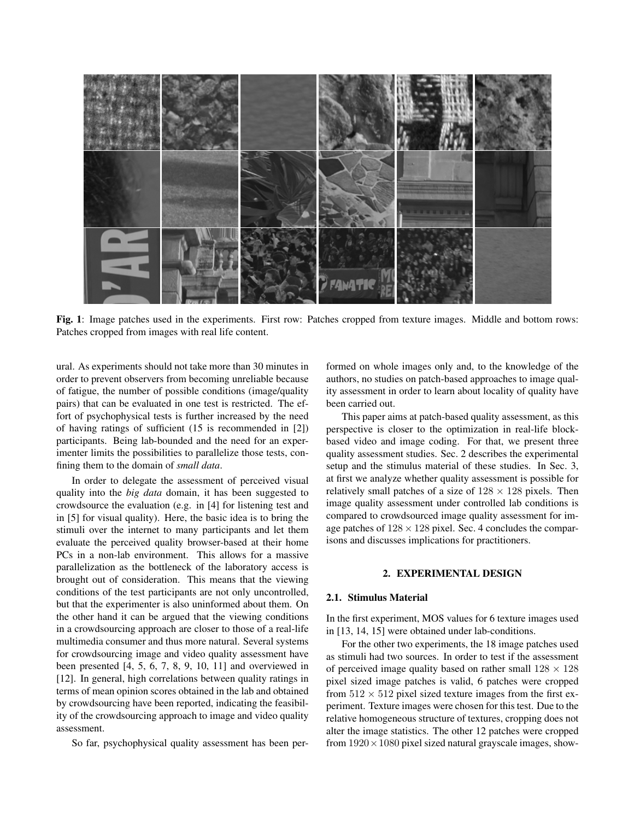

Fig. 1: Image patches used in the experiments. First row: Patches cropped from texture images. Middle and bottom rows: Patches cropped from images with real life content.

ural. As experiments should not take more than 30 minutes in order to prevent observers from becoming unreliable because of fatigue, the number of possible conditions (image/quality pairs) that can be evaluated in one test is restricted. The effort of psychophysical tests is further increased by the need of having ratings of sufficient (15 is recommended in [2]) participants. Being lab-bounded and the need for an experimenter limits the possibilities to parallelize those tests, confining them to the domain of *small data*.

In order to delegate the assessment of perceived visual quality into the *big data* domain, it has been suggested to crowdsource the evaluation (e.g. in [4] for listening test and in [5] for visual quality). Here, the basic idea is to bring the stimuli over the internet to many participants and let them evaluate the perceived quality browser-based at their home PCs in a non-lab environment. This allows for a massive parallelization as the bottleneck of the laboratory access is brought out of consideration. This means that the viewing conditions of the test participants are not only uncontrolled, but that the experimenter is also uninformed about them. On the other hand it can be argued that the viewing conditions in a crowdsourcing approach are closer to those of a real-life multimedia consumer and thus more natural. Several systems for crowdsourcing image and video quality assessment have been presented [4, 5, 6, 7, 8, 9, 10, 11] and overviewed in [12]. In general, high correlations between quality ratings in terms of mean opinion scores obtained in the lab and obtained by crowdsourcing have been reported, indicating the feasibility of the crowdsourcing approach to image and video quality assessment.

So far, psychophysical quality assessment has been per-

formed on whole images only and, to the knowledge of the authors, no studies on patch-based approaches to image quality assessment in order to learn about locality of quality have been carried out.

This paper aims at patch-based quality assessment, as this perspective is closer to the optimization in real-life blockbased video and image coding. For that, we present three quality assessment studies. Sec. 2 describes the experimental setup and the stimulus material of these studies. In Sec. 3, at first we analyze whether quality assessment is possible for relatively small patches of a size of  $128 \times 128$  pixels. Then image quality assessment under controlled lab conditions is compared to crowdsourced image quality assessment for image patches of  $128 \times 128$  pixel. Sec. 4 concludes the comparisons and discusses implications for practitioners.

### 2. EXPERIMENTAL DESIGN

## 2.1. Stimulus Material

In the first experiment, MOS values for 6 texture images used in [13, 14, 15] were obtained under lab-conditions.

For the other two experiments, the 18 image patches used as stimuli had two sources. In order to test if the assessment of perceived image quality based on rather small  $128 \times 128$ pixel sized image patches is valid, 6 patches were cropped from  $512 \times 512$  pixel sized texture images from the first experiment. Texture images were chosen for this test. Due to the relative homogeneous structure of textures, cropping does not alter the image statistics. The other 12 patches were cropped from  $1920 \times 1080$  pixel sized natural grayscale images, show-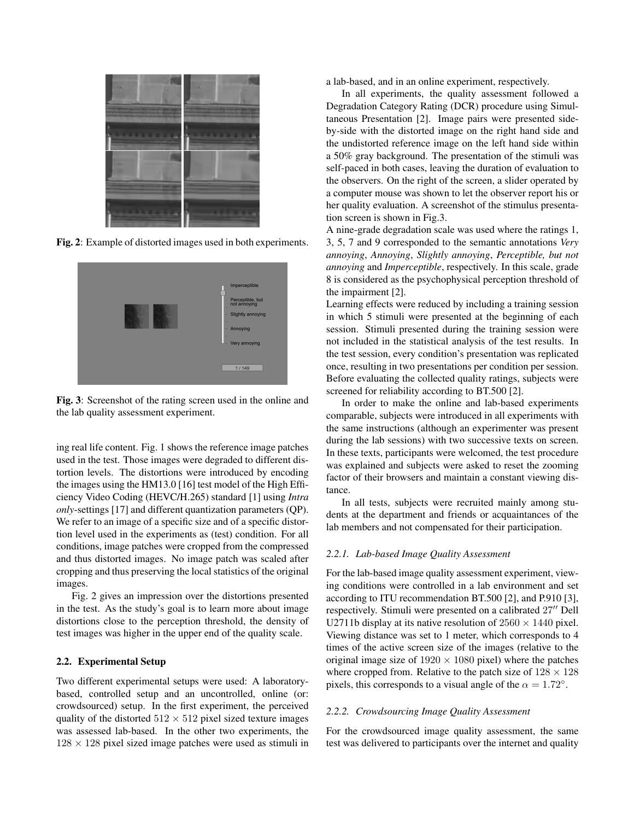

Fig. 2: Example of distorted images used in both experiments.



Fig. 3: Screenshot of the rating screen used in the online and the lab quality assessment experiment.

ing real life content. Fig. 1 shows the reference image patches used in the test. Those images were degraded to different distortion levels. The distortions were introduced by encoding the images using the HM13.0 [16] test model of the High Efficiency Video Coding (HEVC/H.265) standard [1] using *Intra only*-settings [17] and different quantization parameters (QP). We refer to an image of a specific size and of a specific distortion level used in the experiments as (test) condition. For all conditions, image patches were cropped from the compressed and thus distorted images. No image patch was scaled after cropping and thus preserving the local statistics of the original images.

Fig. 2 gives an impression over the distortions presented in the test. As the study's goal is to learn more about image distortions close to the perception threshold, the density of test images was higher in the upper end of the quality scale.

## 2.2. Experimental Setup

Two different experimental setups were used: A laboratorybased, controlled setup and an uncontrolled, online (or: crowdsourced) setup. In the first experiment, the perceived quality of the distorted  $512 \times 512$  pixel sized texture images was assessed lab-based. In the other two experiments, the  $128 \times 128$  pixel sized image patches were used as stimuli in

a lab-based, and in an online experiment, respectively.

In all experiments, the quality assessment followed a Degradation Category Rating (DCR) procedure using Simultaneous Presentation [2]. Image pairs were presented sideby-side with the distorted image on the right hand side and the undistorted reference image on the left hand side within a 50% gray background. The presentation of the stimuli was self-paced in both cases, leaving the duration of evaluation to the observers. On the right of the screen, a slider operated by a computer mouse was shown to let the observer report his or her quality evaluation. A screenshot of the stimulus presentation screen is shown in Fig.3.

A nine-grade degradation scale was used where the ratings 1, 3, 5, 7 and 9 corresponded to the semantic annotations *Very annoying*, *Annoying*, *Slightly annoying*, *Perceptible, but not annoying* and *Imperceptible*, respectively. In this scale, grade 8 is considered as the psychophysical perception threshold of the impairment [2].

Learning effects were reduced by including a training session in which 5 stimuli were presented at the beginning of each session. Stimuli presented during the training session were not included in the statistical analysis of the test results. In the test session, every condition's presentation was replicated once, resulting in two presentations per condition per session. Before evaluating the collected quality ratings, subjects were screened for reliability according to BT.500 [2].

In order to make the online and lab-based experiments comparable, subjects were introduced in all experiments with the same instructions (although an experimenter was present during the lab sessions) with two successive texts on screen. In these texts, participants were welcomed, the test procedure was explained and subjects were asked to reset the zooming factor of their browsers and maintain a constant viewing distance.

In all tests, subjects were recruited mainly among students at the department and friends or acquaintances of the lab members and not compensated for their participation.

### *2.2.1. Lab-based Image Quality Assessment*

For the lab-based image quality assessment experiment, viewing conditions were controlled in a lab environment and set according to ITU recommendation BT.500 [2], and P.910 [3], respectively. Stimuli were presented on a calibrated  $27''$  Dell U2711b display at its native resolution of  $2560 \times 1440$  pixel. Viewing distance was set to 1 meter, which corresponds to 4 times of the active screen size of the images (relative to the original image size of  $1920 \times 1080$  pixel) where the patches where cropped from. Relative to the patch size of  $128 \times 128$ pixels, this corresponds to a visual angle of the  $\alpha = 1.72^{\circ}$ .

## *2.2.2. Crowdsourcing Image Quality Assessment*

For the crowdsourced image quality assessment, the same test was delivered to participants over the internet and quality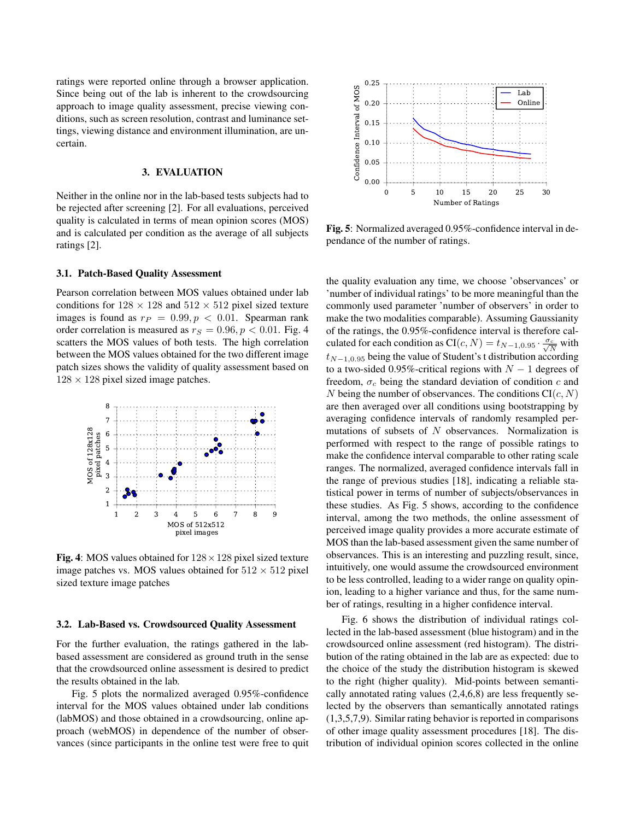ratings were reported online through a browser application. Since being out of the lab is inherent to the crowdsourcing approach to image quality assessment, precise viewing conditions, such as screen resolution, contrast and luminance settings, viewing distance and environment illumination, are uncertain.

### 3. EVALUATION

Neither in the online nor in the lab-based tests subjects had to be rejected after screening [2]. For all evaluations, perceived quality is calculated in terms of mean opinion scores (MOS) and is calculated per condition as the average of all subjects ratings [2].

### 3.1. Patch-Based Quality Assessment

Pearson correlation between MOS values obtained under lab conditions for  $128 \times 128$  and  $512 \times 512$  pixel sized texture images is found as  $r_P = 0.99, p < 0.01$ . Spearman rank order correlation is measured as  $r_S = 0.96, p < 0.01$ . Fig. 4 scatters the MOS values of both tests. The high correlation between the MOS values obtained for the two different image patch sizes shows the validity of quality assessment based on  $128 \times 128$  pixel sized image patches.



Fig. 4: MOS values obtained for  $128 \times 128$  pixel sized texture image patches vs. MOS values obtained for  $512 \times 512$  pixel sized texture image patches

#### 3.2. Lab-Based vs. Crowdsourced Quality Assessment

For the further evaluation, the ratings gathered in the labbased assessment are considered as ground truth in the sense that the crowdsourced online assessment is desired to predict the results obtained in the lab.

Fig. 5 plots the normalized averaged 0.95%-confidence interval for the MOS values obtained under lab conditions (labMOS) and those obtained in a crowdsourcing, online approach (webMOS) in dependence of the number of observances (since participants in the online test were free to quit



Fig. 5: Normalized averaged 0.95%-confidence interval in dependance of the number of ratings.

the quality evaluation any time, we choose 'observances' or 'number of individual ratings' to be more meaningful than the commonly used parameter 'number of observers' in order to make the two modalities comparable). Assuming Gaussianity of the ratings, the 0.95%-confidence interval is therefore calculated for each condition as CI $(c, N) = t_{N-1,0.95} \cdot \frac{\sigma_c}{\sqrt{N}}$  with  $t_{N-1,0.95}$  being the value of Student's t distribution according to a two-sided 0.95%-critical regions with  $N - 1$  degrees of freedom,  $\sigma_c$  being the standard deviation of condition c and N being the number of observances. The conditions  $CI(c, N)$ are then averaged over all conditions using bootstrapping by averaging confidence intervals of randomly resampled permutations of subsets of N observances. Normalization is performed with respect to the range of possible ratings to make the confidence interval comparable to other rating scale ranges. The normalized, averaged confidence intervals fall in the range of previous studies [18], indicating a reliable statistical power in terms of number of subjects/observances in these studies. As Fig. 5 shows, according to the confidence interval, among the two methods, the online assessment of perceived image quality provides a more accurate estimate of MOS than the lab-based assessment given the same number of observances. This is an interesting and puzzling result, since, intuitively, one would assume the crowdsourced environment to be less controlled, leading to a wider range on quality opinion, leading to a higher variance and thus, for the same number of ratings, resulting in a higher confidence interval.

Fig. 6 shows the distribution of individual ratings collected in the lab-based assessment (blue histogram) and in the crowdsourced online assessment (red histogram). The distribution of the rating obtained in the lab are as expected: due to the choice of the study the distribution histogram is skewed to the right (higher quality). Mid-points between semantically annotated rating values (2,4,6,8) are less frequently selected by the observers than semantically annotated ratings (1,3,5,7,9). Similar rating behavior is reported in comparisons of other image quality assessment procedures [18]. The distribution of individual opinion scores collected in the online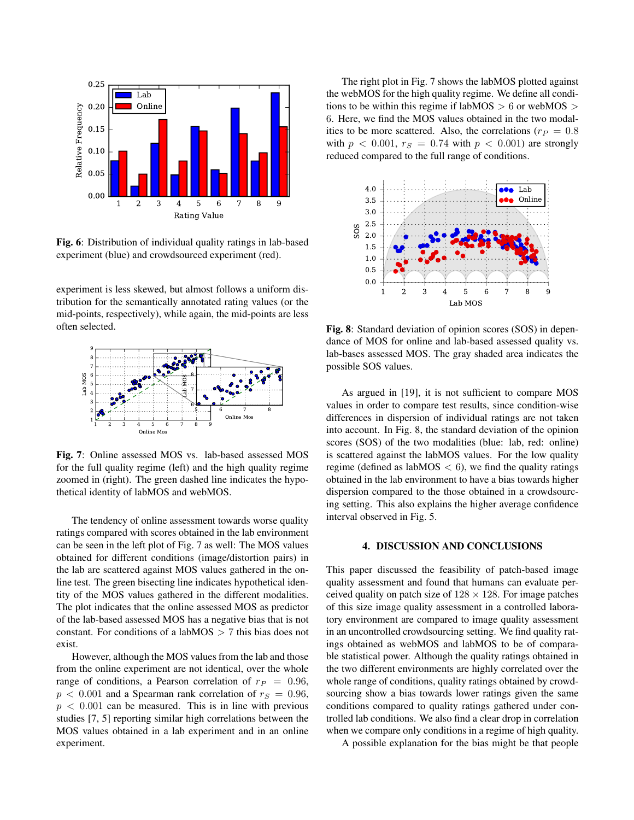

Fig. 6: Distribution of individual quality ratings in lab-based experiment (blue) and crowdsourced experiment (red).

experiment is less skewed, but almost follows a uniform distribution for the semantically annotated rating values (or the mid-points, respectively), while again, the mid-points are less often selected.



Fig. 7: Online assessed MOS vs. lab-based assessed MOS for the full quality regime (left) and the high quality regime zoomed in (right). The green dashed line indicates the hypothetical identity of labMOS and webMOS.

The tendency of online assessment towards worse quality ratings compared with scores obtained in the lab environment can be seen in the left plot of Fig. 7 as well: The MOS values obtained for different conditions (image/distortion pairs) in the lab are scattered against MOS values gathered in the online test. The green bisecting line indicates hypothetical identity of the MOS values gathered in the different modalities. The plot indicates that the online assessed MOS as predictor of the lab-based assessed MOS has a negative bias that is not constant. For conditions of a labMOS > 7 this bias does not exist.

However, although the MOS values from the lab and those from the online experiment are not identical, over the whole range of conditions, a Pearson correlation of  $r_P = 0.96$ ,  $p < 0.001$  and a Spearman rank correlation of  $r_S = 0.96$ ,  $p < 0.001$  can be measured. This is in line with previous studies [7, 5] reporting similar high correlations between the MOS values obtained in a lab experiment and in an online experiment.

The right plot in Fig. 7 shows the labMOS plotted against the webMOS for the high quality regime. We define all conditions to be within this regime if labMOS  $> 6$  or webMOS  $>$ 6. Here, we find the MOS values obtained in the two modalities to be more scattered. Also, the correlations ( $r_P = 0.8$ ) with  $p < 0.001$ ,  $r_s = 0.74$  with  $p < 0.001$ ) are strongly reduced compared to the full range of conditions.



Fig. 8: Standard deviation of opinion scores (SOS) in dependance of MOS for online and lab-based assessed quality vs. lab-bases assessed MOS. The gray shaded area indicates the possible SOS values.

As argued in [19], it is not sufficient to compare MOS values in order to compare test results, since condition-wise differences in dispersion of individual ratings are not taken into account. In Fig. 8, the standard deviation of the opinion scores (SOS) of the two modalities (blue: lab, red: online) is scattered against the labMOS values. For the low quality regime (defined as labMOS  $<$  6), we find the quality ratings obtained in the lab environment to have a bias towards higher dispersion compared to the those obtained in a crowdsourcing setting. This also explains the higher average confidence interval observed in Fig. 5.

### 4. DISCUSSION AND CONCLUSIONS

This paper discussed the feasibility of patch-based image quality assessment and found that humans can evaluate perceived quality on patch size of  $128 \times 128$ . For image patches of this size image quality assessment in a controlled laboratory environment are compared to image quality assessment in an uncontrolled crowdsourcing setting. We find quality ratings obtained as webMOS and labMOS to be of comparable statistical power. Although the quality ratings obtained in the two different environments are highly correlated over the whole range of conditions, quality ratings obtained by crowdsourcing show a bias towards lower ratings given the same conditions compared to quality ratings gathered under controlled lab conditions. We also find a clear drop in correlation when we compare only conditions in a regime of high quality.

A possible explanation for the bias might be that people